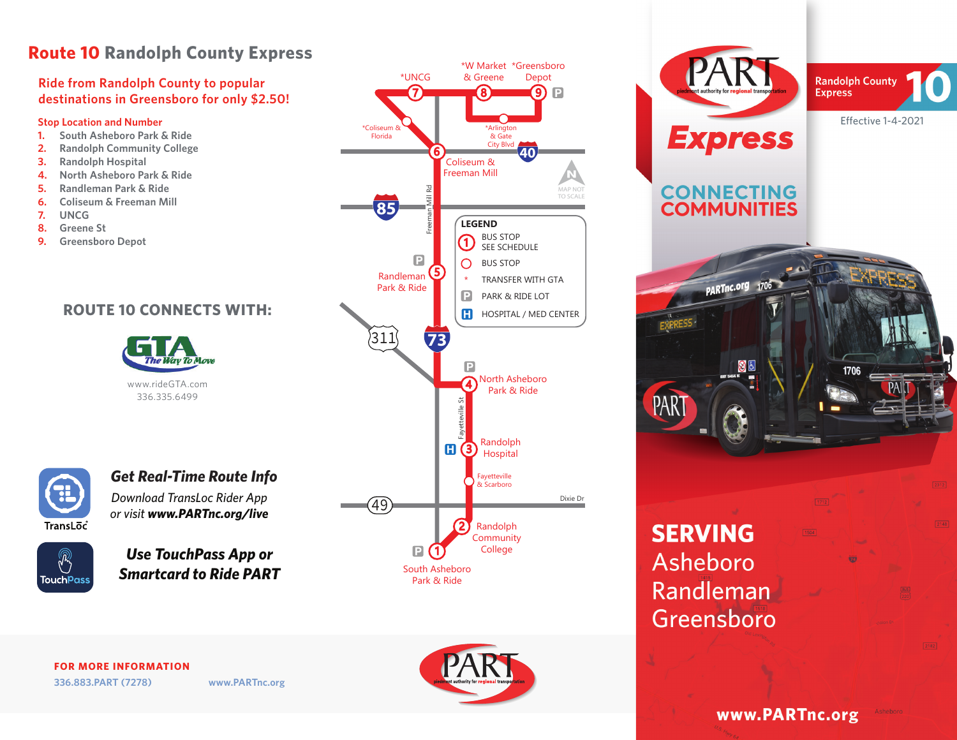# **Route 10 Randolph County Express**

### **Ride from Randolph County to popular** <br>**Ride from Randolph County to popular Algorithm Reserve to Algorithmen destinations in Greensboro for only \$2.50!**

- **1. South Asheboro Park & Ride**
- **2. Randolph Community College**
- **3. Randolph Hospital**
- **4. North Asheboro Park & Ride**
- **5. Randleman Park & Ride**
- **6. Coliseum & Freeman Mill**
- **7. UNCG**
- **8. Greene St**
- **9. Greensboro Depot**

## **ROUTE 10 CONNECTS WITH:**





## *Download TransLoc Rider App Get Real-Time Route Info*

*or visit www.PARTnc.org/live*



*Use TouchPass App or Smartcard to Ride PART*



**CONNECTING**<br>**COMMUNITIES** PARTnc.org 1706 1706 PAR **SERVING** Asheboro Randleman Greensboro

**Randolph County Express** 

 $2148$ 

**FOR MORE INFORMATION 336.883.PART (7278) www.PARTnc.org**



www.PARTnc.org